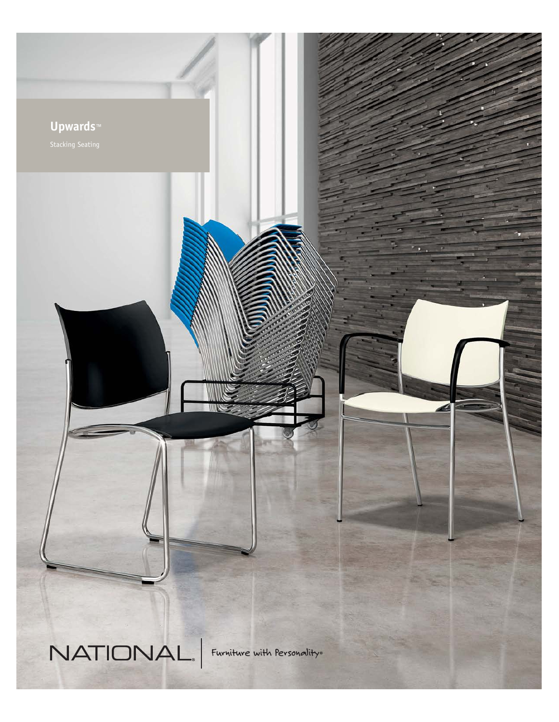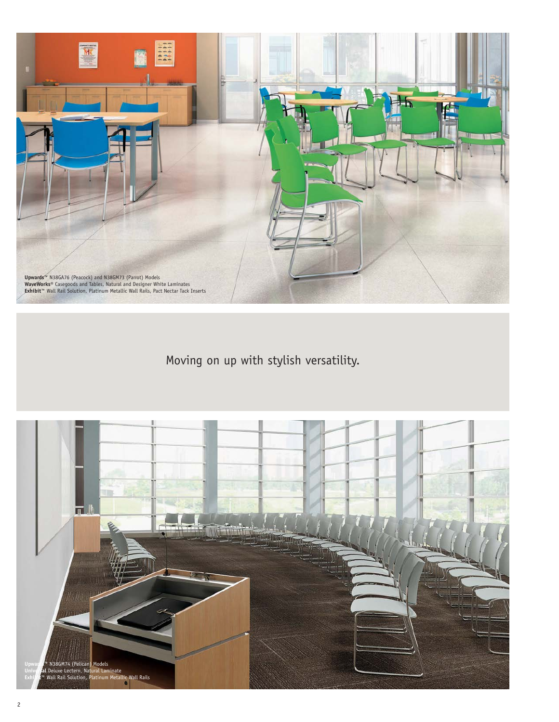

Moving on up with stylish versatility.

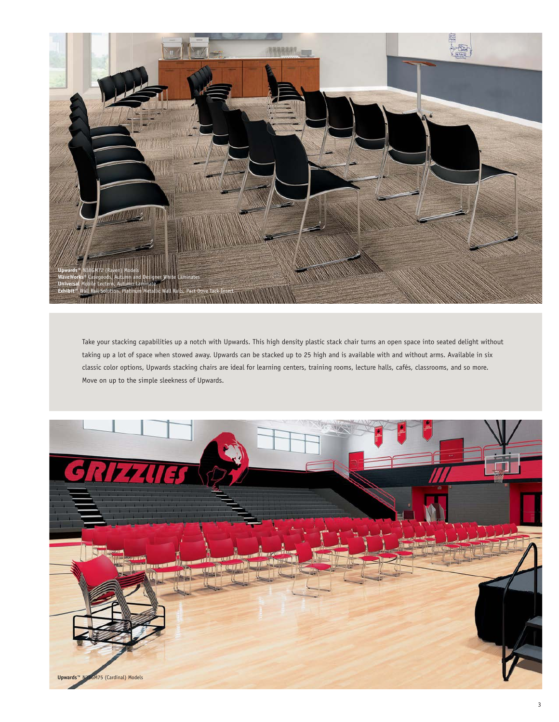

Take your stacking capabilities up a notch with Upwards. This high density plastic stack chair turns an open space into seated delight without taking up a lot of space when stowed away. Upwards can be stacked up to 25 high and is available with and without arms. Available in six classic color options, Upwards stacking chairs are ideal for learning centers, training rooms, lecture halls, cafés, classrooms, and so more. Move on up to the simple sleekness of Upwards.